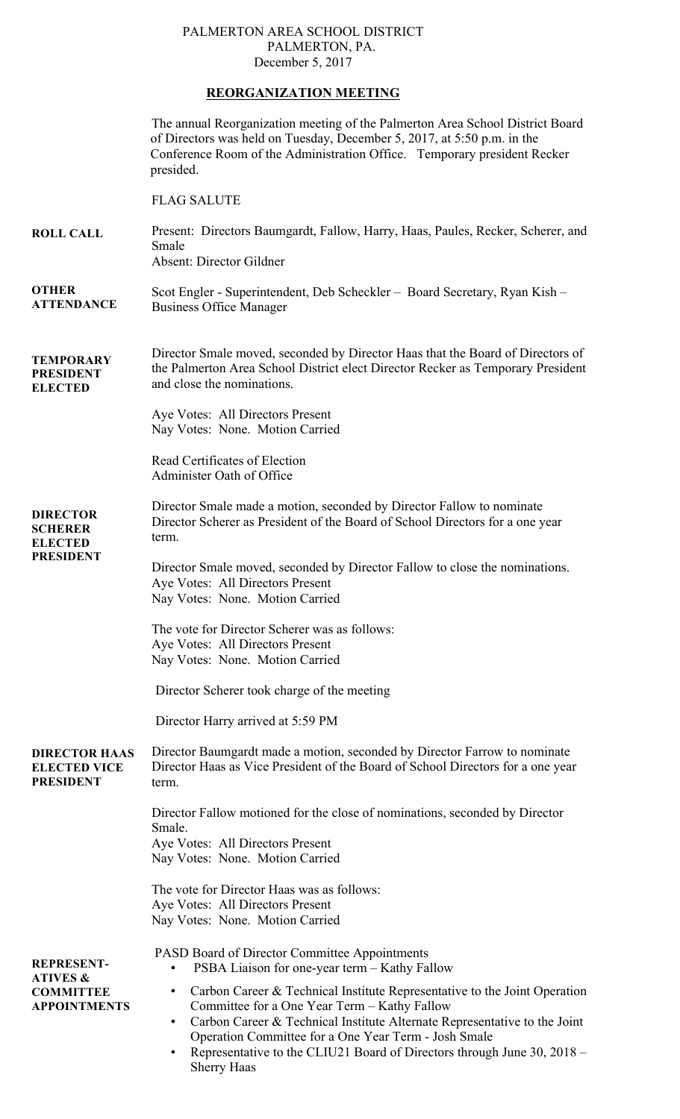## PALMERTON AREA SCHOOL DISTRICT PALMERTON, PA. December 5, 2017

## **REORGANIZATION MEETING**

|                                                                                     | The annual Reorganization meeting of the Palmerton Area School District Board<br>of Directors was held on Tuesday, December 5, 2017, at 5:50 p.m. in the<br>Conference Room of the Administration Office. Temporary president Recker<br>presided.                                                                                                      |
|-------------------------------------------------------------------------------------|--------------------------------------------------------------------------------------------------------------------------------------------------------------------------------------------------------------------------------------------------------------------------------------------------------------------------------------------------------|
|                                                                                     | <b>FLAG SALUTE</b>                                                                                                                                                                                                                                                                                                                                     |
| <b>ROLL CALL</b>                                                                    | Present: Directors Baumgardt, Fallow, Harry, Haas, Paules, Recker, Scherer, and<br>Smale<br>Absent: Director Gildner                                                                                                                                                                                                                                   |
| <b>OTHER</b><br><b>ATTENDANCE</b>                                                   | Scot Engler - Superintendent, Deb Scheckler – Board Secretary, Ryan Kish –<br><b>Business Office Manager</b>                                                                                                                                                                                                                                           |
| <b>TEMPORARY</b><br><b>PRESIDENT</b><br><b>ELECTED</b>                              | Director Smale moved, seconded by Director Haas that the Board of Directors of<br>the Palmerton Area School District elect Director Recker as Temporary President<br>and close the nominations.                                                                                                                                                        |
|                                                                                     | Aye Votes: All Directors Present<br>Nay Votes: None. Motion Carried                                                                                                                                                                                                                                                                                    |
|                                                                                     | Read Certificates of Election<br>Administer Oath of Office                                                                                                                                                                                                                                                                                             |
| <b>DIRECTOR</b><br><b>SCHERER</b><br><b>ELECTED</b><br><b>PRESIDENT</b>             | Director Smale made a motion, seconded by Director Fallow to nominate<br>Director Scherer as President of the Board of School Directors for a one year<br>term.                                                                                                                                                                                        |
|                                                                                     | Director Smale moved, seconded by Director Fallow to close the nominations.<br>Aye Votes: All Directors Present<br>Nay Votes: None. Motion Carried                                                                                                                                                                                                     |
|                                                                                     | The vote for Director Scherer was as follows:<br>Aye Votes: All Directors Present<br>Nay Votes: None. Motion Carried                                                                                                                                                                                                                                   |
|                                                                                     | Director Scherer took charge of the meeting                                                                                                                                                                                                                                                                                                            |
|                                                                                     | Director Harry arrived at 5:59 PM                                                                                                                                                                                                                                                                                                                      |
| <b>DIRECTOR HAAS</b><br><b>ELECTED VICE</b><br><b>PRESIDENT</b>                     | Director Baumgardt made a motion, seconded by Director Farrow to nominate<br>Director Haas as Vice President of the Board of School Directors for a one year<br>term.                                                                                                                                                                                  |
|                                                                                     | Director Fallow motioned for the close of nominations, seconded by Director<br>Smale.<br>Aye Votes: All Directors Present<br>Nay Votes: None. Motion Carried                                                                                                                                                                                           |
|                                                                                     | The vote for Director Haas was as follows:<br>Aye Votes: All Directors Present<br>Nay Votes: None. Motion Carried                                                                                                                                                                                                                                      |
| <b>REPRESENT-</b><br><b>ATIVES &amp;</b><br><b>COMMITTEE</b><br><b>APPOINTMENTS</b> | <b>PASD Board of Director Committee Appointments</b><br>PSBA Liaison for one-year term - Kathy Fallow                                                                                                                                                                                                                                                  |
|                                                                                     | Carbon Career & Technical Institute Representative to the Joint Operation<br>$\bullet$<br>Committee for a One Year Term - Kathy Fallow<br>Carbon Career & Technical Institute Alternate Representative to the Joint<br>Operation Committee for a One Year Term - Josh Smale<br>Representative to the CLIU21 Board of Directors through June 30, 2018 – |

• Representative to the CLIU21 Board of Directors through June 30, 2018 – Sherry Haas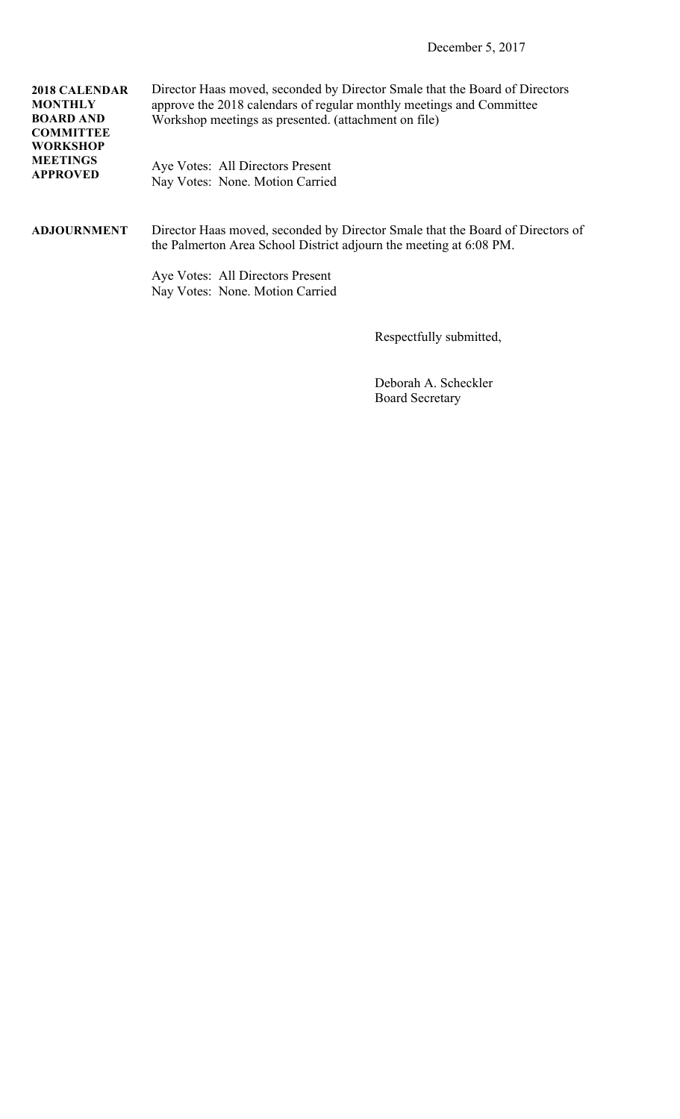| <b>2018 CALENDAR</b><br><b>MONTHLY</b><br><b>BOARD AND</b><br><b>COMMITTEE</b><br><b>WORKSHOP</b> | Director Haas moved, seconded by Director Smale that the Board of Directors<br>approve the 2018 calendars of regular monthly meetings and Committee<br>Workshop meetings as presented. (attachment on file) |
|---------------------------------------------------------------------------------------------------|-------------------------------------------------------------------------------------------------------------------------------------------------------------------------------------------------------------|
| <b>MEETINGS</b><br><b>APPROVED</b>                                                                | Aye Votes: All Directors Present<br>Nay Votes: None. Motion Carried                                                                                                                                         |
| <b>ADJOURNMENT</b>                                                                                | Director Haas moved, seconded by Director Smale that the Board of Directors of<br>the Palmerton Area School District adjourn the meeting at 6:08 PM.                                                        |
|                                                                                                   | Aye Votes: All Directors Present<br>Nay Votes: None. Motion Carried                                                                                                                                         |

Respectfully submitted,

 Deborah A. Scheckler Board Secretary